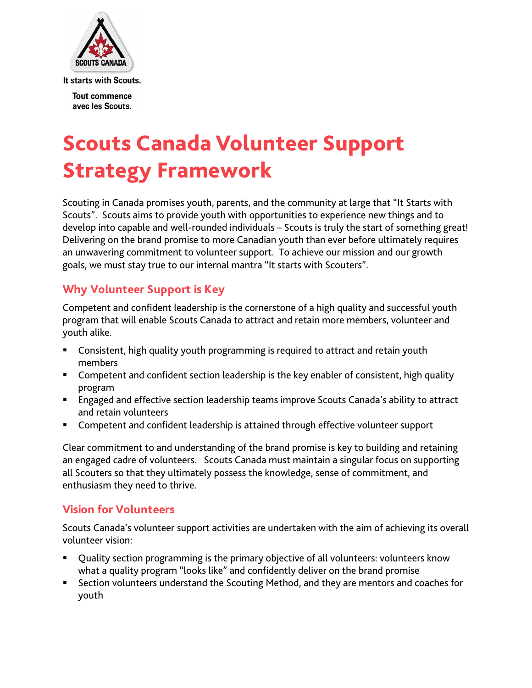

**Tout commence** avec les Scouts.

# Scouts Canada Volunteer Support Strategy Framework

Scouting in Canada promises youth, parents, and the community at large that "It Starts with Scouts". Scouts aims to provide youth with opportunities to experience new things and to develop into capable and well-rounded individuals – Scouts is truly the start of something great! Delivering on the brand promise to more Canadian youth than ever before ultimately requires an unwavering commitment to volunteer support. To achieve our mission and our growth goals, we must stay true to our internal mantra "It starts with Scouters".

## **Why Volunteer Support is Key**

Competent and confident leadership is the cornerstone of a high quality and successful youth program that will enable Scouts Canada to attract and retain more members, volunteer and youth alike.

- Consistent, high quality youth programming is required to attract and retain youth members
- Competent and confident section leadership is the key enabler of consistent, high quality program
- **Engaged and effective section leadership teams improve Scouts Canada's ability to attract** and retain volunteers
- Competent and confident leadership is attained through effective volunteer support

Clear commitment to and understanding of the brand promise is key to building and retaining an engaged cadre of volunteers. Scouts Canada must maintain a singular focus on supporting all Scouters so that they ultimately possess the knowledge, sense of commitment, and enthusiasm they need to thrive.

## **Vision for Volunteers**

Scouts Canada's volunteer support activities are undertaken with the aim of achieving its overall volunteer vision:

- Quality section programming is the primary objective of all volunteers: volunteers know what a quality program "looks like" and confidently deliver on the brand promise
- Section volunteers understand the Scouting Method, and they are mentors and coaches for youth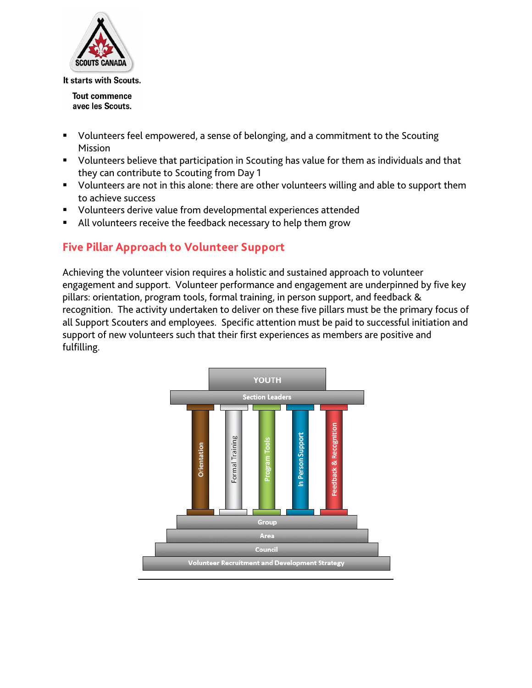

**Tout commence** avec les Scouts.

- Volunteers feel empowered, a sense of belonging, and a commitment to the Scouting Mission
- **U** Volunteers believe that participation in Scouting has value for them as individuals and that they can contribute to Scouting from Day 1
- **U** Volunteers are not in this alone: there are other volunteers willing and able to support them to achieve success
- Volunteers derive value from developmental experiences attended
- All volunteers receive the feedback necessary to help them grow

# **Five Pillar Approach to Volunteer Support**

Achieving the volunteer vision requires a holistic and sustained approach to volunteer engagement and support. Volunteer performance and engagement are underpinned by five key pillars: orientation, program tools, formal training, in person support, and feedback & recognition. The activity undertaken to deliver on these five pillars must be the primary focus of all Support Scouters and employees. Specific attention must be paid to successful initiation and support of new volunteers such that their first experiences as members are positive and fulfilling.

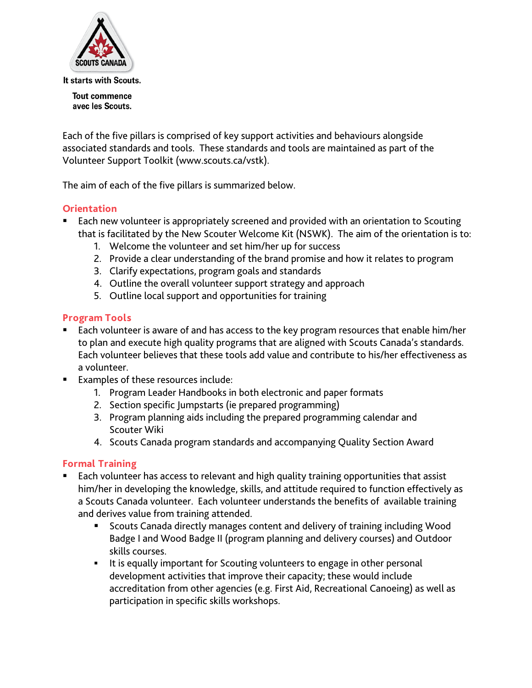

**Tout commence** avec les Scouts.

Each of the five pillars is comprised of key support activities and behaviours alongside associated standards and tools. These standards and tools are maintained as part of the Volunteer Support Toolkit (www.scouts.ca/vstk).

The aim of each of the five pillars is summarized below.

#### **Orientation**

- Each new volunteer is appropriately screened and provided with an orientation to Scouting that is facilitated by the New Scouter Welcome Kit (NSWK). The aim of the orientation is to:
	- 1. Welcome the volunteer and set him/her up for success
	- 2. Provide a clear understanding of the brand promise and how it relates to program
	- 3. Clarify expectations, program goals and standards
	- 4. Outline the overall volunteer support strategy and approach
	- 5. Outline local support and opportunities for training

#### **Program Tools**

- Each volunteer is aware of and has access to the key program resources that enable him/her to plan and execute high quality programs that are aligned with Scouts Canada's standards. Each volunteer believes that these tools add value and contribute to his/her effectiveness as a volunteer.
- Examples of these resources include:
	- 1. Program Leader Handbooks in both electronic and paper formats
	- 2. Section specific Jumpstarts (ie prepared programming)
	- 3. Program planning aids including the prepared programming calendar and Scouter Wiki
	- 4. Scouts Canada program standards and accompanying Quality Section Award

#### **Formal Training**

- Each volunteer has access to relevant and high quality training opportunities that assist him/her in developing the knowledge, skills, and attitude required to function effectively as a Scouts Canada volunteer. Each volunteer understands the benefits of available training and derives value from training attended.
	- Scouts Canada directly manages content and delivery of training including Wood Badge I and Wood Badge II (program planning and delivery courses) and Outdoor skills courses.
	- It is equally important for Scouting volunteers to engage in other personal development activities that improve their capacity; these would include accreditation from other agencies (e.g. First Aid, Recreational Canoeing) as well as participation in specific skills workshops.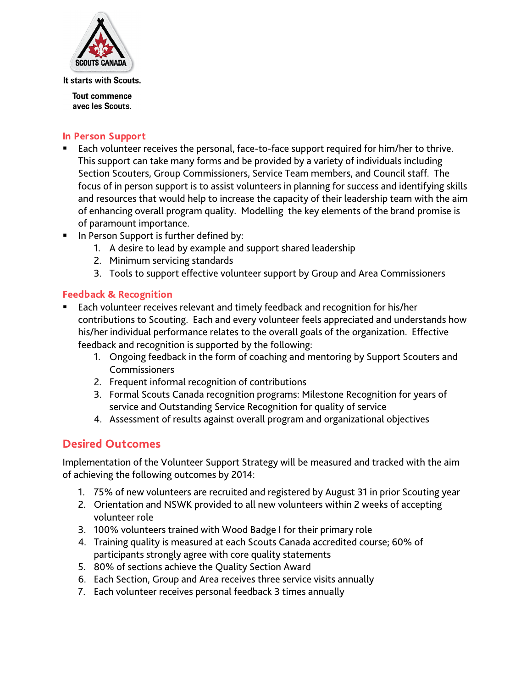

**Tout commence** avec les Scouts.

#### **In Person Support**

- Each volunteer receives the personal, face-to-face support required for him/her to thrive. This support can take many forms and be provided by a variety of individuals including Section Scouters, Group Commissioners, Service Team members, and Council staff. The focus of in person support is to assist volunteers in planning for success and identifying skills and resources that would help to increase the capacity of their leadership team with the aim of enhancing overall program quality. Modelling the key elements of the brand promise is of paramount importance.
- **IF In Person Support is further defined by:** 
	- 1. A desire to lead by example and support shared leadership
	- 2. Minimum servicing standards
	- 3. Tools to support effective volunteer support by Group and Area Commissioners

#### **Feedback & Recognition**

- Each volunteer receives relevant and timely feedback and recognition for his/her contributions to Scouting. Each and every volunteer feels appreciated and understands how his/her individual performance relates to the overall goals of the organization. Effective feedback and recognition is supported by the following:
	- 1. Ongoing feedback in the form of coaching and mentoring by Support Scouters and Commissioners
	- 2. Frequent informal recognition of contributions
	- 3. Formal Scouts Canada recognition programs: Milestone Recognition for years of service and Outstanding Service Recognition for quality of service
	- 4. Assessment of results against overall program and organizational objectives

## **Desired Outcomes**

Implementation of the Volunteer Support Strategy will be measured and tracked with the aim of achieving the following outcomes by 2014:

- 1. 75% of new volunteers are recruited and registered by August 31 in prior Scouting year
- 2. Orientation and NSWK provided to all new volunteers within 2 weeks of accepting volunteer role
- 3. 100% volunteers trained with Wood Badge I for their primary role
- 4. Training quality is measured at each Scouts Canada accredited course; 60% of participants strongly agree with core quality statements
- 5. 80% of sections achieve the Quality Section Award
- 6. Each Section, Group and Area receives three service visits annually
- 7. Each volunteer receives personal feedback 3 times annually